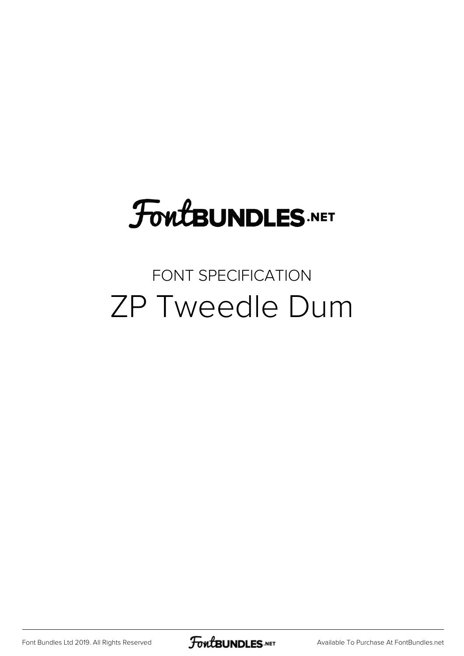# **FoutBUNDLES.NET**

#### FONT SPECIFICATION ZP Tweedle Dum

[Font Bundles Ltd 2019. All Rights Reserved](https://fontbundles.net/) **FoutBUNDLES.NET** [Available To Purchase At FontBundles.net](https://fontbundles.net/)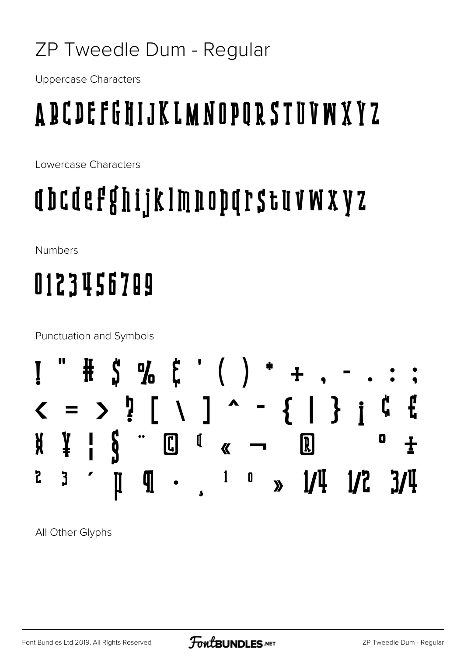#### ZP Tweedle Dum - Regular

**Uppercase Characters** 

## A B C D E F G H I J K L M N O P O R S T U V W X Y Z

Lowercase Characters

### abcdefghijklmnoparstuvwxyz

**Numbers** 

# 0123456709

**Punctuation and Symbols** 



All Other Glyphs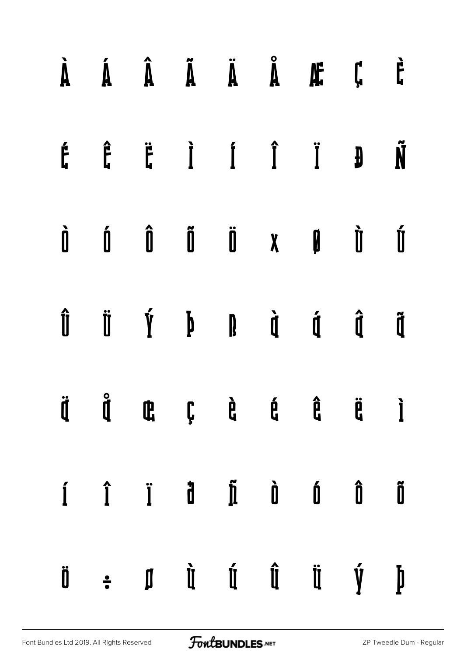|  |  |  | $\dot{A}$ $\dot{A}$ $\dot{A}$ $\ddot{A}$ $\ddot{A}$ $\ddot{E}$ $\ddot{C}$ $\dot{C}$                                                                                                                                                                                                                                                                                                                                                                                                          |  |
|--|--|--|----------------------------------------------------------------------------------------------------------------------------------------------------------------------------------------------------------------------------------------------------------------------------------------------------------------------------------------------------------------------------------------------------------------------------------------------------------------------------------------------|--|
|  |  |  | $\begin{array}{ccccccccccccccccc} \acute{F} & \hat{F} & \hat{F} & \dot{I} & \dot{I} & \dot{I} & \dot{J} & \dot{N} \end{array}$                                                                                                                                                                                                                                                                                                                                                               |  |
|  |  |  | $\begin{array}{ccccccccccccccccc} \hat{\mathbf{I}} & \hat{\mathbf{I}} & \hat{\mathbf{I}} & \hat{\mathbf{I}} & \hat{\mathbf{I}} & \hat{\mathbf{I}} & \hat{\mathbf{I}} & \hat{\mathbf{I}} & \hat{\mathbf{I}} & \hat{\mathbf{I}} & \hat{\mathbf{I}} & \hat{\mathbf{I}} & \hat{\mathbf{I}} & \hat{\mathbf{I}} & \hat{\mathbf{I}} & \hat{\mathbf{I}} & \hat{\mathbf{I}} & \hat{\mathbf{I}} & \hat{\mathbf{I}} & \hat{\mathbf{I}} & \hat{\mathbf{I}} & \hat{\mathbf{I}} & \hat{\mathbf{I}} & \hat$ |  |
|  |  |  | $\begin{array}{ccccccccccccccccc} \hat{\mathbf{I}} & \hat{\mathbf{I}} & \hat{\mathbf{I}} & \hat{\mathbf{I}} & \hat{\mathbf{I}} & \hat{\mathbf{I}} & \hat{\mathbf{I}} & \hat{\mathbf{I}} & \hat{\mathbf{I}} & \hat{\mathbf{I}} & \hat{\mathbf{I}} & \hat{\mathbf{I}} & \hat{\mathbf{I}} & \hat{\mathbf{I}} & \hat{\mathbf{I}} & \hat{\mathbf{I}} & \hat{\mathbf{I}} & \hat{\mathbf{I}} & \hat{\mathbf{I}} & \hat{\mathbf{I}} & \hat{\mathbf{I}} & \hat{\mathbf{I}} & \hat{\mathbf{I}} & \hat$ |  |
|  |  |  |                                                                                                                                                                                                                                                                                                                                                                                                                                                                                              |  |
|  |  |  | $\hat{I}$ $\hat{I}$ $\hat{I}$ $\hat{I}$ $\hat{I}$ $\hat{I}$ $\hat{I}$ $\hat{I}$ $\hat{I}$ $\hat{I}$ $\hat{I}$ $\hat{I}$ $\hat{I}$                                                                                                                                                                                                                                                                                                                                                            |  |
|  |  |  | $\begin{array}{ccccccccccccccccc} \mathbf{0} & \mathbf{0} & \mathbf{0} & \mathbf{0} & \mathbf{0} & \mathbf{0} & \mathbf{0} & \mathbf{0} & \mathbf{0} & \mathbf{0} & \mathbf{0} & \mathbf{0} & \mathbf{0} & \mathbf{0} & \mathbf{0} & \mathbf{0} & \mathbf{0} & \mathbf{0} & \mathbf{0} & \mathbf{0} & \mathbf{0} & \mathbf{0} & \mathbf{0} & \mathbf{0} & \mathbf{0} & \mathbf{0} & \mathbf{0} & \mathbf{0} & \mathbf{0} & \mathbf{0}$                                                       |  |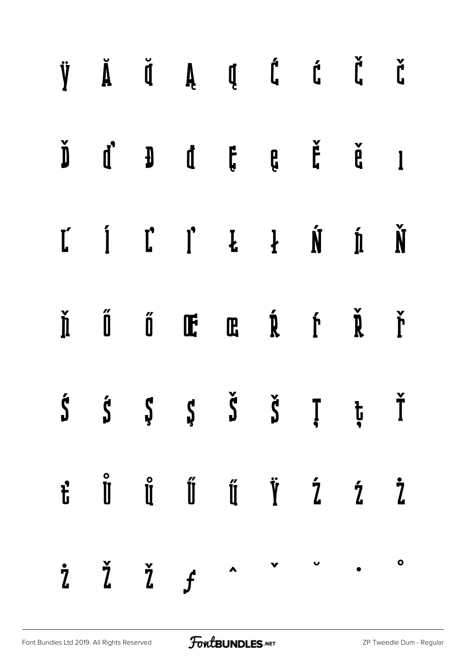| $\check{J}$ $\check{D}$ $\check{D}$ $\check{B}$ $\check{B}$ $\check{B}$ $\check{B}$ $\check{K}$                                                                                                                                                                                                                                                                                                                                       |  |  |  |  |
|---------------------------------------------------------------------------------------------------------------------------------------------------------------------------------------------------------------------------------------------------------------------------------------------------------------------------------------------------------------------------------------------------------------------------------------|--|--|--|--|
| $\check{\textbf{D}}\qquad \textbf{d}^*\qquad \textbf{J}\qquad \textbf{d}\qquad \textbf{f}\qquad \textbf{e}\qquad \textbf{f}\qquad \textbf{e}\qquad \textbf{f}\qquad \textbf{d}\qquad \textbf{I}$                                                                                                                                                                                                                                      |  |  |  |  |
| $\begin{array}{cccccccccccccc} \mathbf{L} & \mathbf{I} & \mathbf{I} & \mathbf{I} & \mathbf{I} & \mathbf{I} & \mathbf{I} & \mathbf{I} & \mathbf{I} & \mathbf{I} & \mathbf{I} & \mathbf{I} & \mathbf{I} & \mathbf{I} & \mathbf{I} & \mathbf{I} & \mathbf{I} & \mathbf{I} & \mathbf{I} & \mathbf{I} & \mathbf{I} & \mathbf{I} & \mathbf{I} & \mathbf{I} & \mathbf{I} & \mathbf{I} & \mathbf{I} & \mathbf{I} & \mathbf{I} & \mathbf{I} &$ |  |  |  |  |
| $\check{\mathbb{I}}$ $\check{\mathbb{I}}$ $\check{\mathbb{I}}$ $\check{\mathbb{I}}$ $\mathbb{I}$ $\mathbb{I}$ $\check{\mathbb{I}}$ $\check{\mathbb{I}}$ $\check{\mathbb{I}}$ $\check{\mathbb{I}}$ $\check{\mathbb{I}}$                                                                                                                                                                                                                |  |  |  |  |
| $\check{\textbf{S}}\hspace{0.3cm} \check{\textbf{S}}\hspace{0.3cm} \check{\textbf{S}}\hspace{0.3cm} \check{\textbf{S}}\hspace{0.3cm} \check{\textbf{S}}\hspace{0.3cm} \check{\textbf{I}}\hspace{0.3cm} \check{\textbf{I}}\hspace{0.3cm} \check{\textbf{I}}\hspace{0.3cm} \check{\textbf{I}}$                                                                                                                                          |  |  |  |  |
| $\begin{array}{cccccccccc} \vec{t} & \vec{0} & \vec{0} & \vec{0} & \vec{0} & \vec{0} & \vec{0} & \vec{0} & \vec{0} & \vec{0} & \vec{0} & \vec{0} & \vec{0} & \vec{0} & \vec{0} & \vec{0} & \vec{0} & \vec{0} & \vec{0} & \vec{0} & \vec{0} & \vec{0} & \vec{0} & \vec{0} & \vec{0} & \vec{0} & \vec{0} & \vec{0} & \vec{0} & \vec{0} & \vec{0} & \vec{0} & \vec{0} & \vec{0} & \vec{0} & \$                                           |  |  |  |  |
| $\dot{z}$ $\check{z}$ $\check{z}$ $f$ $\circ$ $\circ$ $\circ$                                                                                                                                                                                                                                                                                                                                                                         |  |  |  |  |